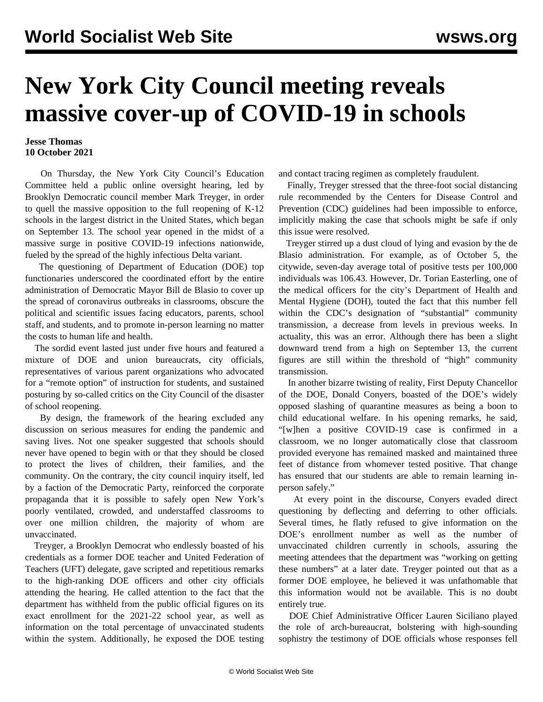## **New York City Council meeting reveals massive cover-up of COVID-19 in schools**

## **Jesse Thomas 10 October 2021**

 On Thursday, the New York City Council's Education Committee held a public online oversight hearing, led by Brooklyn Democratic council member Mark Treyger, in order to quell the massive opposition to the full reopening of K-12 schools in the largest district in the United States, which began on September 13. The school year opened in the midst of a massive surge in positive COVID-19 infections nationwide, fueled by the spread of the highly infectious Delta variant.

 The questioning of Department of Education (DOE) top functionaries underscored the coordinated effort by the entire administration of Democratic Mayor Bill de Blasio to cover up the spread of coronavirus outbreaks in classrooms, obscure the political and scientific issues facing educators, parents, school staff, and students, and to promote in-person learning no matter the costs to human life and health.

 The sordid event lasted just under five hours and featured a mixture of DOE and union bureaucrats, city officials, representatives of various parent organizations who advocated for a "remote option" of instruction for students, and sustained posturing by so-called critics on the City Council of the disaster of school reopening.

 By design, the framework of the hearing excluded any discussion on serious measures for ending the pandemic and saving lives. Not one speaker suggested that schools should never have opened to begin with or that they should be closed to protect the lives of children, their families, and the community. On the contrary, the city council inquiry itself, led by a faction of the Democratic Party, reinforced the corporate propaganda that it is possible to safely open New York's poorly ventilated, crowded, and understaffed classrooms to over one million children, the majority of whom are unvaccinated.

 Treyger, a Brooklyn Democrat who endlessly boasted of his credentials as a former DOE teacher and United Federation of Teachers (UFT) delegate, gave scripted and repetitious remarks to the high-ranking DOE officers and other city officials attending the hearing. He called attention to the fact that the department has withheld from the public official figures on its exact enrollment for the 2021-22 school year, as well as information on the total percentage of unvaccinated students within the system. Additionally, he exposed the DOE testing and contact tracing regimen as completely fraudulent.

 Finally, Treyger stressed that the three-foot social distancing rule recommended by the Centers for Disease Control and Prevention (CDC) guidelines had been impossible to enforce, implicitly making the case that schools might be safe if only this issue were resolved.

 Treyger stirred up a dust cloud of lying and evasion by the de Blasio administration. For example, as of October 5, the citywide, seven-day average total of positive tests per 100,000 individuals was 106.43. However, Dr. Torian Easterling, one of the medical officers for the city's Department of Health and Mental Hygiene (DOH), touted the fact that this number fell within the CDC's designation of "substantial" community transmission, a decrease from levels in previous weeks. In actuality, this was an error. Although there has been a slight downward trend from a high on September 13, the current figures are still within the threshold of "high" community transmission.

 In another bizarre twisting of reality, First Deputy Chancellor of the DOE, Donald Conyers, boasted of the DOE's widely opposed [slashing](/en/articles/2021/09/21/nyed-s21.html) of quarantine measures as being a boon to child educational welfare. In his opening remarks, he said, "[w]hen a positive COVID-19 case is confirmed in a classroom, we no longer automatically close that classroom provided everyone has remained masked and maintained three feet of distance from whomever tested positive. That change has ensured that our students are able to remain learning inperson safely."

 At every point in the discourse, Conyers evaded direct questioning by deflecting and deferring to other officials. Several times, he flatly refused to give information on the DOE's enrollment number as well as the number of unvaccinated children currently in schools, assuring the meeting attendees that the department was "working on getting these numbers" at a later date. Treyger pointed out that as a former DOE employee, he believed it was unfathomable that this information would not be available. This is no doubt entirely true.

 DOE Chief Administrative Officer Lauren Siciliano played the role of arch-bureaucrat, bolstering with high-sounding sophistry the testimony of DOE officials whose responses fell